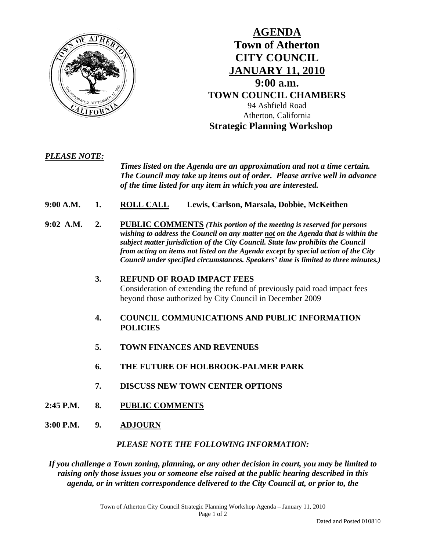

## **AGENDA Town of Atherton CITY COUNCIL JANUARY 11, 2010 9:00 a.m. TOWN COUNCIL CHAMBERS** 94 Ashfield Road Atherton, California **Strategic Planning Workshop**

#### *PLEASE NOTE:*

 *Times listed on the Agenda are an approximation and not a time certain. The Council may take up items out of order. Please arrive well in advance of the time listed for any item in which you are interested.* 

- **9:00 A.M. 1. ROLL CALL Lewis, Carlson, Marsala, Dobbie, McKeithen**
- **9:02 A.M. 2. PUBLIC COMMENTS** *(This portion of the meeting is reserved for persons wishing to address the Council on any matter not on the Agenda that is within the subject matter jurisdiction of the City Council. State law prohibits the Council from acting on items not listed on the Agenda except by special action of the City Council under specified circumstances. Speakers' time is limited to three minutes.)* 
	- **3. REFUND OF ROAD IMPACT FEES**  Consideration of extending the refund of previously paid road impact fees beyond those authorized by City Council in December 2009
	- **4. COUNCIL COMMUNICATIONS AND PUBLIC INFORMATION POLICIES**
	- **5. TOWN FINANCES AND REVENUES**
	- **6. THE FUTURE OF HOLBROOK-PALMER PARK**
	- **7. DISCUSS NEW TOWN CENTER OPTIONS**
- **2:45 P.M. 8. PUBLIC COMMENTS**
- **3:00 P.M. 9. ADJOURN**

#### *PLEASE NOTE THE FOLLOWING INFORMATION:*

*If you challenge a Town zoning, planning, or any other decision in court, you may be limited to raising only those issues you or someone else raised at the public hearing described in this agenda, or in written correspondence delivered to the City Council at, or prior to, the*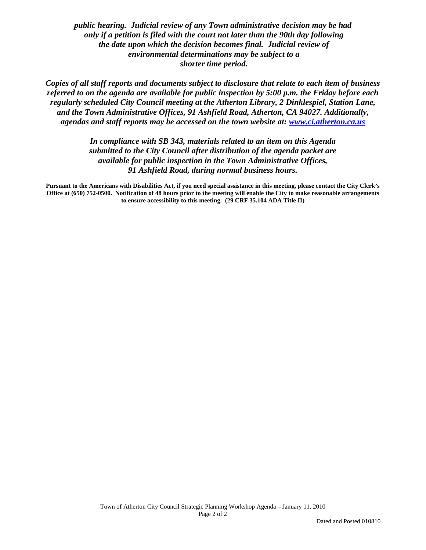*public hearing. Judicial review of any Town administrative decision may be had only if a petition is filed with the court not later than the 90th day following the date upon which the decision becomes final. Judicial review of environmental determinations may be subject to a shorter time period.* 

*Copies of all staff reports and documents subject to disclosure that relate to each item of business referred to on the agenda are available for public inspection by 5:00 p.m. the Friday before each regularly scheduled City Council meeting at the Atherton Library, 2 Dinklespiel, Station Lane, and the Town Administrative Offices, 91 Ashfield Road, Atherton, CA 94027. Additionally, agendas and staff reports may be accessed on the town website at: [www.ci.atherton.ca.us](http://www.ci.atherton.ca.us/)* 

> *In compliance with SB 343, materials related to an item on this Agenda submitted to the City Council after distribution of the agenda packet are available for public inspection in the Town Administrative Offices, 91 Ashfield Road, during normal business hours.*

**Pursuant to the Americans with Disabilities Act, if you need special assistance in this meeting, please contact the City Clerk's Office at (650) 752-0500. Notification of 48 hours prior to the meeting will enable the City to make reasonable arrangements to ensure accessibility to this meeting. (29 CRF 35.104 ADA Title II)**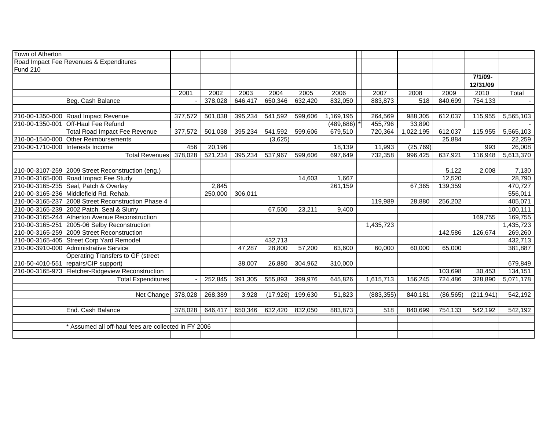| Road Impact Fee Revenues & Expenditures<br><b>Fund 210</b><br>7/1/09-                                                                                |               |
|------------------------------------------------------------------------------------------------------------------------------------------------------|---------------|
|                                                                                                                                                      |               |
|                                                                                                                                                      |               |
|                                                                                                                                                      |               |
| 12/31/09                                                                                                                                             |               |
| 2010<br>2004<br>2006<br>2007<br>2008<br>2009<br>2001<br>2002<br>2003<br>2005                                                                         | Total         |
| 883,873<br>$\overline{518}$<br>754, 133<br>Beg. Cash Balance<br>378,028<br>646,417<br>650,346<br>632,420<br>832,050<br>840,699                       | $\sim$        |
|                                                                                                                                                      |               |
| 395,234<br>1,169,195<br>264,569<br>210-00-1350-000 Road Impact Revenue<br>501,038<br>541,592<br>599,606<br>988,305<br>612,037<br>115,955<br>377,572  | 5,565,103     |
| 210-00-1350-001 Off-Haul Fee Refund<br>(489, 686)<br>455,796<br>33,890                                                                               |               |
| 612,037<br><b>Total Road Impact Fee Revenue</b><br>501,038<br>395,234<br>541,592<br>599,606<br>679,510<br>720,364<br>1,022,195<br>377,572<br>115,955 | 5,565,103     |
| 210-00-1540-000 Other Reimbursements<br>(3,625)<br>25,884                                                                                            | 22,259        |
| 20,196<br>18,139<br>11,993<br>(25, 769)<br>210-00-1710-000 Interests Income<br>456                                                                   | 26,008<br>993 |
| <b>Total Revenues</b><br>521,234<br>395,234<br>697,649<br>732,358<br>637,921<br>378,028<br>537,967<br>599,606<br>996,425<br>116,948                  | 5,613,370     |
|                                                                                                                                                      |               |
| 210-00-3107-259 2009 Street Reconstruction (eng.)<br>5,122<br>2,008                                                                                  | 7,130         |
| 12,520<br>210-00-3165-000 Road Impact Fee Study<br>1,667<br>14,603                                                                                   | 28,790        |
| 210-00-3165-235 Seal, Patch & Overlay<br>261,159<br>139,359<br>2,845<br>67,365                                                                       | 470,727       |
| 210-00-3165-236 Middlefield Rd. Rehab.<br>306,011<br>250,000                                                                                         | 556,011       |
| 210-00-3165-237 2008 Street Reconstruction Phase 4<br>119,989<br>256,202<br>28,880                                                                   | 405,071       |
| 210-00-3165-239 2002 Patch, Seal & Slurry<br>9,400<br>67,500<br>23,211                                                                               | 100,111       |
| 210-00-3165-244 Atherton Avenue Reconstruction<br>169,755                                                                                            | 169,755       |
| 210-00-3165-251 2005-06 Selby Reconstruction<br>1,435,723                                                                                            | 1,435,723     |
| 210-00-3165-259 2009 Street Reconstruction<br>142,586<br>126,674                                                                                     | 269,260       |
| 210-00-3165-405 Street Corp Yard Remodel<br>432,713                                                                                                  | 432,713       |
| 210-00-3910-000 Administrative Service<br>28,800<br>47,287<br>57,200<br>63,600<br>60,000<br>60,000<br>65,000                                         | 381,887       |
| <b>Operating Transfers to GF (street</b>                                                                                                             |               |
| 210-50-4010-551 repairs/CIP support)<br>38.007<br>26,880<br>304,962<br>310,000                                                                       | 679,849       |
| 210-00-3165-973 Fletcher-Ridgeview Reconstruction<br>30,453<br>103,698                                                                               | 134,151       |
| <b>Total Expenditures</b><br>252,845<br>391,305<br>555,893<br>399,976<br>645,826<br>1,615,713<br>156,245<br>724,486<br>328,890                       | 5,071,178     |
|                                                                                                                                                      |               |
| 268,389<br>Net Change<br>378,028<br>3,928<br>(17, 926)<br>199,630<br>51,823<br>(883, 355)<br>840,181<br>(86, 565)<br>(211, 941)                      | 542,192       |
|                                                                                                                                                      |               |
| End. Cash Balance<br>646,417<br>650,346<br>518<br>378,028<br>632,420<br>832,050<br>883,873<br>840,699<br>754,133<br>542,192                          | 542,192       |
|                                                                                                                                                      |               |
| * Assumed all off-haul fees are collected in FY 2006                                                                                                 |               |
|                                                                                                                                                      |               |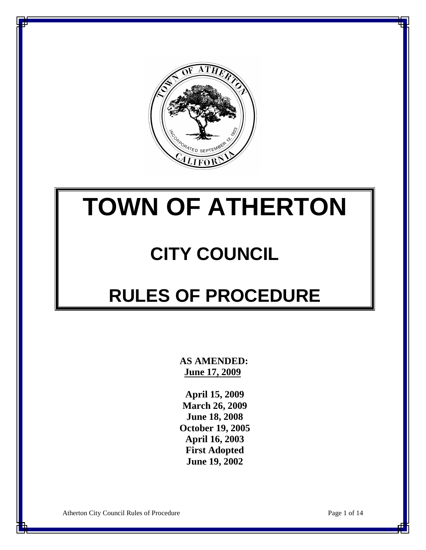

# **TOWN OF ATHERTON**

## **CITY COUNCIL**

## **RULES OF PROCEDURE**

 **AS AMENDED: June 17, 2009**

**April 15, 2009 March 26, 2009 June 18, 2008 October 19, 2005 April 16, 2003 First Adopted June 19, 2002**

Atherton City Council Rules of Procedure Page 1 of 14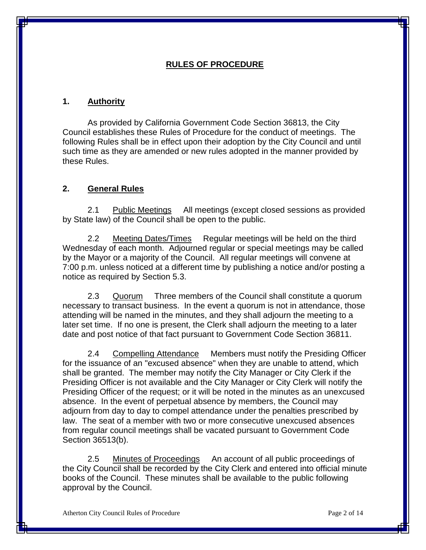#### **RULES OF PROCEDURE**

#### **1. Authority**

As provided by California Government Code Section 36813, the City Council establishes these Rules of Procedure for the conduct of meetings. The following Rules shall be in effect upon their adoption by the City Council and until such time as they are amended or new rules adopted in the manner provided by these Rules.

#### **2. General Rules**

2.1 Public Meetings All meetings (except closed sessions as provided by State law) of the Council shall be open to the public.

2.2 Meeting Dates/Times Regular meetings will be held on the third Wednesday of each month. Adjourned regular or special meetings may be called by the Mayor or a majority of the Council. All regular meetings will convene at 7:00 p.m. unless noticed at a different time by publishing a notice and/or posting a notice as required by Section 5.3.

2.3 Quorum Three members of the Council shall constitute a quorum necessary to transact business. In the event a quorum is not in attendance, those attending will be named in the minutes, and they shall adjourn the meeting to a later set time. If no one is present, the Clerk shall adjourn the meeting to a later date and post notice of that fact pursuant to Government Code Section 36811.

2.4 Compelling Attendance Members must notify the Presiding Officer for the issuance of an "excused absence" when they are unable to attend, which shall be granted. The member may notify the City Manager or City Clerk if the Presiding Officer is not available and the City Manager or City Clerk will notify the Presiding Officer of the request; or it will be noted in the minutes as an unexcused absence. In the event of perpetual absence by members, the Council may adjourn from day to day to compel attendance under the penalties prescribed by law. The seat of a member with two or more consecutive unexcused absences from regular council meetings shall be vacated pursuant to Government Code Section 36513(b).

2.5 Minutes of Proceedings An account of all public proceedings of the City Council shall be recorded by the City Clerk and entered into official minute books of the Council. These minutes shall be available to the public following approval by the Council.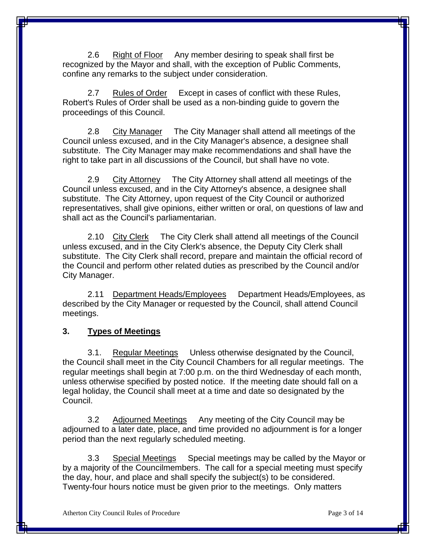2.6 Right of Floor Any member desiring to speak shall first be recognized by the Mayor and shall, with the exception of Public Comments, confine any remarks to the subject under consideration.

2.7 Rules of Order Except in cases of conflict with these Rules, Robert's Rules of Order shall be used as a non-binding guide to govern the proceedings of this Council.

2.8 City Manager The City Manager shall attend all meetings of the Council unless excused, and in the City Manager's absence, a designee shall substitute. The City Manager may make recommendations and shall have the right to take part in all discussions of the Council, but shall have no vote.

2.9 City Attorney The City Attorney shall attend all meetings of the Council unless excused, and in the City Attorney's absence, a designee shall substitute. The City Attorney, upon request of the City Council or authorized representatives, shall give opinions, either written or oral, on questions of law and shall act as the Council's parliamentarian.

2.10 City Clerk The City Clerk shall attend all meetings of the Council unless excused, and in the City Clerk's absence, the Deputy City Clerk shall substitute. The City Clerk shall record, prepare and maintain the official record of the Council and perform other related duties as prescribed by the Council and/or City Manager.

2.11 Department Heads/Employees Department Heads/Employees, as described by the City Manager or requested by the Council, shall attend Council meetings.

#### **3. Types of Meetings**

3.1. Regular Meetings Unless otherwise designated by the Council, the Council shall meet in the City Council Chambers for all regular meetings. The regular meetings shall begin at 7:00 p.m. on the third Wednesday of each month, unless otherwise specified by posted notice. If the meeting date should fall on a legal holiday, the Council shall meet at a time and date so designated by the Council.

3.2 Adjourned Meetings Any meeting of the City Council may be adjourned to a later date, place, and time provided no adjournment is for a longer period than the next regularly scheduled meeting.

3.3 Special Meetings Special meetings may be called by the Mayor or by a majority of the Councilmembers. The call for a special meeting must specify the day, hour, and place and shall specify the subject(s) to be considered. Twenty-four hours notice must be given prior to the meetings. Only matters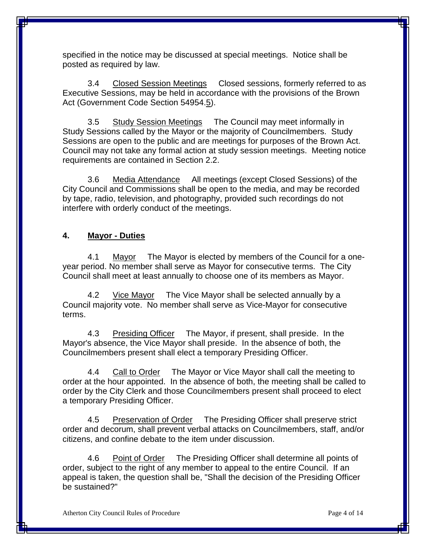specified in the notice may be discussed at special meetings. Notice shall be posted as required by law.

3.4 Closed Session Meetings Closed sessions, formerly referred to as Executive Sessions, may be held in accordance with the provisions of the Brown Act (Government Code Section 54954.5).

3.5 Study Session Meetings The Council may meet informally in Study Sessions called by the Mayor or the majority of Councilmembers. Study Sessions are open to the public and are meetings for purposes of the Brown Act. Council may not take any formal action at study session meetings. Meeting notice requirements are contained in Section 2.2.

3.6 Media Attendance All meetings (except Closed Sessions) of the City Council and Commissions shall be open to the media, and may be recorded by tape, radio, television, and photography, provided such recordings do not interfere with orderly conduct of the meetings.

#### **4. Mayor - Duties**

4.1 Mayor The Mayor is elected by members of the Council for a oneyear period. No member shall serve as Mayor for consecutive terms. The City Council shall meet at least annually to choose one of its members as Mayor.

4.2 Vice Mayor The Vice Mayor shall be selected annually by a Council majority vote. No member shall serve as Vice-Mayor for consecutive terms.

4.3 Presiding Officer The Mayor, if present, shall preside. In the Mayor's absence, the Vice Mayor shall preside. In the absence of both, the Councilmembers present shall elect a temporary Presiding Officer.

4.4 Call to Order The Mayor or Vice Mayor shall call the meeting to order at the hour appointed. In the absence of both, the meeting shall be called to order by the City Clerk and those Councilmembers present shall proceed to elect a temporary Presiding Officer.

4.5 Preservation of Order The Presiding Officer shall preserve strict order and decorum, shall prevent verbal attacks on Councilmembers, staff, and/or citizens, and confine debate to the item under discussion.

4.6 Point of Order The Presiding Officer shall determine all points of order, subject to the right of any member to appeal to the entire Council. If an appeal is taken, the question shall be, "Shall the decision of the Presiding Officer be sustained?"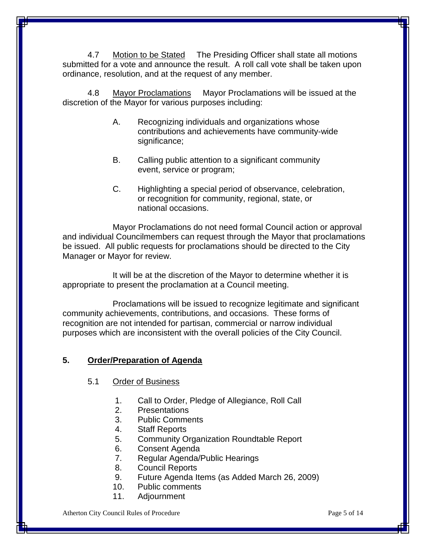4.7 Motion to be Stated The Presiding Officer shall state all motions submitted for a vote and announce the result. A roll call vote shall be taken upon ordinance, resolution, and at the request of any member.

4.8 Mayor Proclamations Mayor Proclamations will be issued at the discretion of the Mayor for various purposes including:

- A. Recognizing individuals and organizations whose contributions and achievements have community-wide significance;
- B. Calling public attention to a significant community event, service or program;
- C. Highlighting a special period of observance, celebration, or recognition for community, regional, state, or national occasions.

Mayor Proclamations do not need formal Council action or approval and individual Councilmembers can request through the Mayor that proclamations be issued. All public requests for proclamations should be directed to the City Manager or Mayor for review.

It will be at the discretion of the Mayor to determine whether it is appropriate to present the proclamation at a Council meeting.

Proclamations will be issued to recognize legitimate and significant community achievements, contributions, and occasions. These forms of recognition are not intended for partisan, commercial or narrow individual purposes which are inconsistent with the overall policies of the City Council.

#### **5. Order/Preparation of Agenda**

#### 5.1 Order of Business

- 1. Call to Order, Pledge of Allegiance, Roll Call
- 2. Presentations
- 3. Public Comments
- 4. Staff Reports
- 5. Community Organization Roundtable Report
- 6. Consent Agenda
- 7. Regular Agenda/Public Hearings
- 8. Council Reports
- 9. Future Agenda Items (as Added March 26, 2009)
- 10. Public comments
- 11. Adjournment

Atherton City Council Rules of Procedure **Page 1** and the Page 5 of 14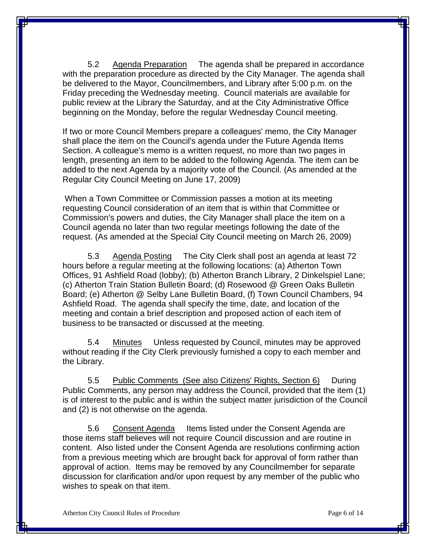5.2 Agenda Preparation The agenda shall be prepared in accordance with the preparation procedure as directed by the City Manager. The agenda shall be delivered to the Mayor, Councilmembers, and Library after 5:00 p.m. on the Friday preceding the Wednesday meeting. Council materials are available for public review at the Library the Saturday, and at the City Administrative Office beginning on the Monday, before the regular Wednesday Council meeting.

If two or more Council Members prepare a colleagues' memo, the City Manager shall place the item on the Council's agenda under the Future Agenda Items Section. A colleague's memo is a written request, no more than two pages in length, presenting an item to be added to the following Agenda. The item can be added to the next Agenda by a majority vote of the Council. (As amended at the Regular City Council Meeting on June 17, 2009)

When a Town Committee or Commission passes a motion at its meeting requesting Council consideration of an item that is within that Committee or Commission's powers and duties, the City Manager shall place the item on a Council agenda no later than two regular meetings following the date of the request. (As amended at the Special City Council meeting on March 26, 2009)

5.3 Agenda Posting The City Clerk shall post an agenda at least 72 hours before a regular meeting at the following locations: (a) Atherton Town Offices, 91 Ashfield Road (lobby); (b) Atherton Branch Library, 2 Dinkelspiel Lane; (c) Atherton Train Station Bulletin Board; (d) Rosewood @ Green Oaks Bulletin Board; (e) Atherton @ Selby Lane Bulletin Board, (f) Town Council Chambers, 94 Ashfield Road. The agenda shall specify the time, date, and location of the meeting and contain a brief description and proposed action of each item of business to be transacted or discussed at the meeting.

5.4 Minutes Unless requested by Council, minutes may be approved without reading if the City Clerk previously furnished a copy to each member and the Library.

5.5 Public Comments (See also Citizens' Rights, Section 6) During Public Comments, any person may address the Council, provided that the item (1) is of interest to the public and is within the subject matter jurisdiction of the Council and (2) is not otherwise on the agenda.

5.6 Consent Agenda Items listed under the Consent Agenda are those items staff believes will not require Council discussion and are routine in content. Also listed under the Consent Agenda are resolutions confirming action from a previous meeting which are brought back for approval of form rather than approval of action. Items may be removed by any Councilmember for separate discussion for clarification and/or upon request by any member of the public who wishes to speak on that item.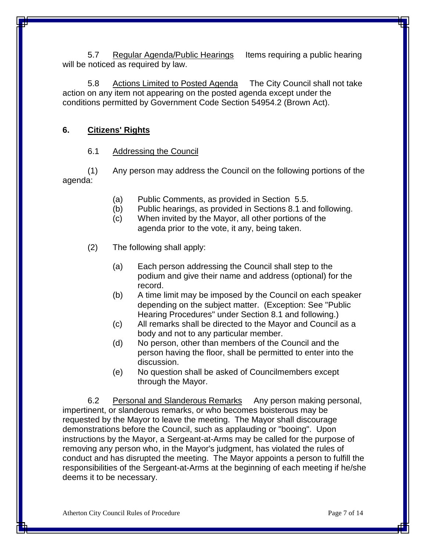5.7 Regular Agenda/Public Hearings Items requiring a public hearing will be noticed as required by law.

5.8 Actions Limited to Posted Agenda The City Council shall not take action on any item not appearing on the posted agenda except under the conditions permitted by Government Code Section 54954.2 (Brown Act).

#### **6. Citizens' Rights**

#### 6.1 Addressing the Council

(1) Any person may address the Council on the following portions of the agenda:

- (a) Public Comments, as provided in Section 5.5.
- (b) Public hearings, as provided in Sections 8.1 and following.
- (c) When invited by the Mayor, all other portions of the agenda prior to the vote, it any, being taken.
- (2) The following shall apply:
	- (a) Each person addressing the Council shall step to the podium and give their name and address (optional) for the record.
	- (b) A time limit may be imposed by the Council on each speaker depending on the subject matter. (Exception: See "Public Hearing Procedures" under Section 8.1 and following.)
	- (c) All remarks shall be directed to the Mayor and Council as a body and not to any particular member.
	- (d) No person, other than members of the Council and the person having the floor, shall be permitted to enter into the discussion.
	- (e) No question shall be asked of Councilmembers except through the Mayor.

6.2 Personal and Slanderous Remarks Any person making personal, impertinent, or slanderous remarks, or who becomes boisterous may be requested by the Mayor to leave the meeting. The Mayor shall discourage demonstrations before the Council, such as applauding or "booing". Upon instructions by the Mayor, a Sergeant-at-Arms may be called for the purpose of removing any person who, in the Mayor's judgment, has violated the rules of conduct and has disrupted the meeting. The Mayor appoints a person to fulfill the responsibilities of the Sergeant-at-Arms at the beginning of each meeting if he/she deems it to be necessary.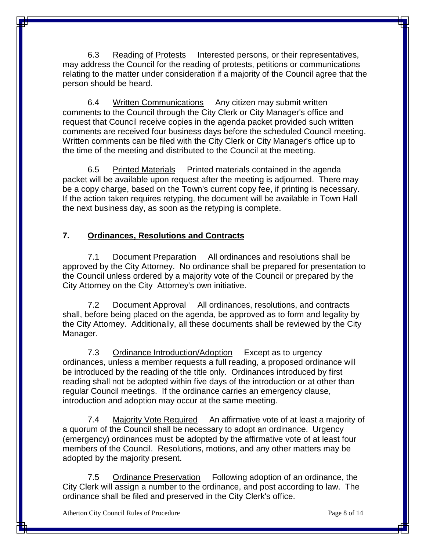6.3 Reading of Protests Interested persons, or their representatives, may address the Council for the reading of protests, petitions or communications relating to the matter under consideration if a majority of the Council agree that the person should be heard.

6.4 Written Communications Any citizen may submit written comments to the Council through the City Clerk or City Manager's office and request that Council receive copies in the agenda packet provided such written comments are received four business days before the scheduled Council meeting. Written comments can be filed with the City Clerk or City Manager's office up to the time of the meeting and distributed to the Council at the meeting.

6.5 Printed Materials Printed materials contained in the agenda packet will be available upon request after the meeting is adjourned. There may be a copy charge, based on the Town's current copy fee, if printing is necessary. If the action taken requires retyping, the document will be available in Town Hall the next business day, as soon as the retyping is complete.

## **7. Ordinances, Resolutions and Contracts**

7.1 Document Preparation All ordinances and resolutions shall be approved by the City Attorney. No ordinance shall be prepared for presentation to the Council unless ordered by a majority vote of the Council or prepared by the City Attorney on the City Attorney's own initiative.

7.2 Document Approval All ordinances, resolutions, and contracts shall, before being placed on the agenda, be approved as to form and legality by the City Attorney. Additionally, all these documents shall be reviewed by the City Manager.

7.3 Ordinance Introduction/Adoption Except as to urgency ordinances, unless a member requests a full reading, a proposed ordinance will be introduced by the reading of the title only. Ordinances introduced by first reading shall not be adopted within five days of the introduction or at other than regular Council meetings. If the ordinance carries an emergency clause, introduction and adoption may occur at the same meeting.

7.4 Majority Vote Required An affirmative vote of at least a majority of a quorum of the Council shall be necessary to adopt an ordinance. Urgency (emergency) ordinances must be adopted by the affirmative vote of at least four members of the Council. Resolutions, motions, and any other matters may be adopted by the majority present.

7.5 Ordinance Preservation Following adoption of an ordinance, the City Clerk will assign a number to the ordinance, and post according to law. The ordinance shall be filed and preserved in the City Clerk's office.

Atherton City Council Rules of Procedure **Page 8** of 14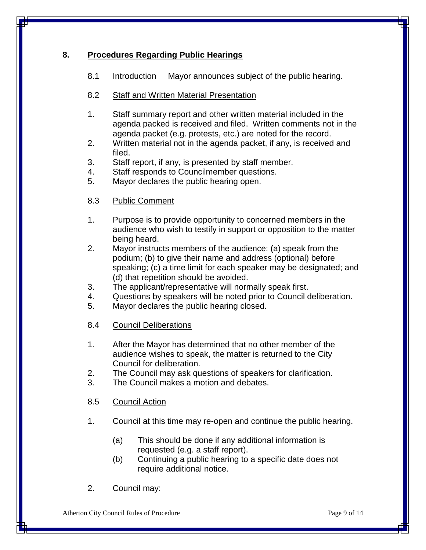### **8. Procedures Regarding Public Hearings**

8.1 Introduction Mayor announces subject of the public hearing.

#### 8.2 Staff and Written Material Presentation

- 1. Staff summary report and other written material included in the agenda packed is received and filed. Written comments not in the agenda packet (e.g. protests, etc.) are noted for the record.
- 2. Written material not in the agenda packet, if any, is received and filed.
- 3. Staff report, if any, is presented by staff member.
- 4. Staff responds to Councilmember questions.
- 5. Mayor declares the public hearing open.
- 8.3 Public Comment
- 1. Purpose is to provide opportunity to concerned members in the audience who wish to testify in support or opposition to the matter being heard.
- 2. Mayor instructs members of the audience: (a) speak from the podium; (b) to give their name and address (optional) before speaking; (c) a time limit for each speaker may be designated; and (d) that repetition should be avoided.
- 3. The applicant/representative will normally speak first.
- 4. Questions by speakers will be noted prior to Council deliberation.
- 5. Mayor declares the public hearing closed.
- 8.4 Council Deliberations
- 1. After the Mayor has determined that no other member of the audience wishes to speak, the matter is returned to the City Council for deliberation.
- 2. The Council may ask questions of speakers for clarification.
- 3. The Council makes a motion and debates.

8.5 Council Action

- 1. Council at this time may re-open and continue the public hearing.
	- (a) This should be done if any additional information is requested (e.g. a staff report).
	- (b) Continuing a public hearing to a specific date does not require additional notice.
- 2. Council may: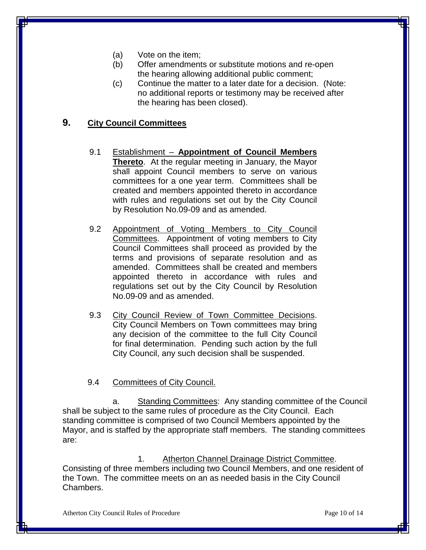- (a) Vote on the item;
- (b) Offer amendments or substitute motions and re-open the hearing allowing additional public comment;
- (c) Continue the matter to a later date for a decision. (Note: no additional reports or testimony may be received after the hearing has been closed).

## **9. City Council Committees**

- 9.1 Establishment **Appointment of Council Members Thereto**. At the regular meeting in January, the Mayor shall appoint Council members to serve on various committees for a one year term. Committees shall be created and members appointed thereto in accordance with rules and regulations set out by the City Council by Resolution No.09-09 and as amended.
- 9.2 Appointment of Voting Members to City Council Committees. Appointment of voting members to City Council Committees shall proceed as provided by the terms and provisions of separate resolution and as amended. Committees shall be created and members appointed thereto in accordance with rules and regulations set out by the City Council by Resolution No.09-09 and as amended.
- 9.3 City Council Review of Town Committee Decisions. City Council Members on Town committees may bring any decision of the committee to the full City Council for final determination. Pending such action by the full City Council, any such decision shall be suspended.

#### 9.4 Committees of City Council.

a. Standing Committees: Any standing committee of the Council shall be subject to the same rules of procedure as the City Council. Each standing committee is comprised of two Council Members appointed by the Mayor, and is staffed by the appropriate staff members. The standing committees are:

1. Atherton Channel Drainage District Committee. Consisting of three members including two Council Members, and one resident of the Town. The committee meets on an as needed basis in the City Council Chambers.

Atherton City Council Rules of Procedure **Page 10** of 14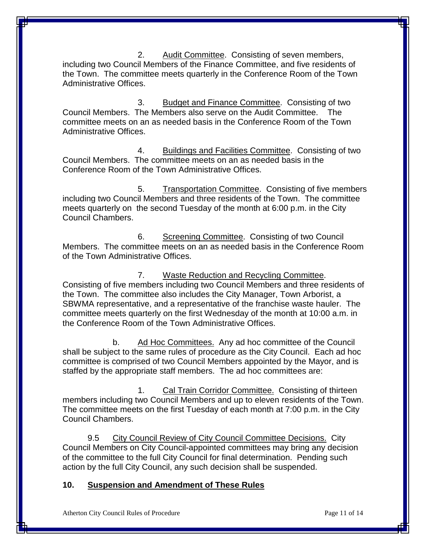2. Audit Committee. Consisting of seven members, including two Council Members of the Finance Committee, and five residents of the Town. The committee meets quarterly in the Conference Room of the Town Administrative Offices.

3. Budget and Finance Committee. Consisting of two Council Members. The Members also serve on the Audit Committee. committee meets on an as needed basis in the Conference Room of the Town Administrative Offices.

4. Buildings and Facilities Committee. Consisting of two Council Members. The committee meets on an as needed basis in the Conference Room of the Town Administrative Offices.

5. Transportation Committee. Consisting of five members including two Council Members and three residents of the Town. The committee meets quarterly on the second Tuesday of the month at 6:00 p.m. in the City Council Chambers.

6. Screening Committee. Consisting of two Council Members. The committee meets on an as needed basis in the Conference Room of the Town Administrative Offices.

7. Waste Reduction and Recycling Committee. Consisting of five members including two Council Members and three residents of the Town. The committee also includes the City Manager, Town Arborist, a SBWMA representative, and a representative of the franchise waste hauler. The committee meets quarterly on the first Wednesday of the month at 10:00 a.m. in the Conference Room of the Town Administrative Offices.

b. Ad Hoc Committees. Any ad hoc committee of the Council shall be subject to the same rules of procedure as the City Council. Each ad hoc committee is comprised of two Council Members appointed by the Mayor, and is staffed by the appropriate staff members. The ad hoc committees are:

1. Cal Train Corridor Committee. Consisting of thirteen members including two Council Members and up to eleven residents of the Town. The committee meets on the first Tuesday of each month at 7:00 p.m. in the City Council Chambers.

9.5 City Council Review of City Council Committee Decisions. City Council Members on City Council-appointed committees may bring any decision of the committee to the full City Council for final determination. Pending such action by the full City Council, any such decision shall be suspended.

#### **10. Suspension and Amendment of These Rules**

Atherton City Council Rules of Procedure **Page 11** of 14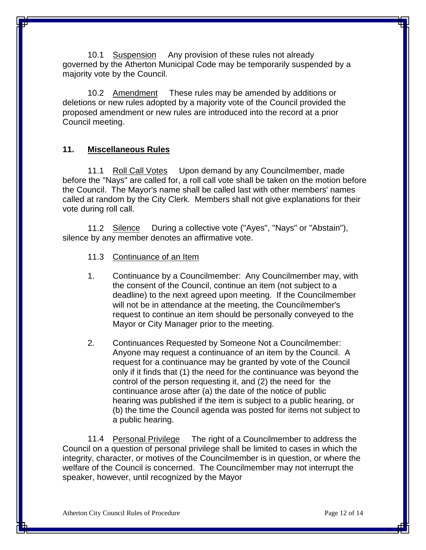10.1 Suspension Any provision of these rules not already governed by the Atherton Municipal Code may be temporarily suspended by a majority vote by the Council.

10.2 Amendment These rules may be amended by additions or deletions or new rules adopted by a majority vote of the Council provided the proposed amendment or new rules are introduced into the record at a prior Council meeting.

#### **11. Miscellaneous Rules**

11.1 Roll Call Votes Upon demand by any Councilmember, made before the "Nays" are called for, a roll call vote shall be taken on the motion before the Council. The Mayor's name shall be called last with other members' names called at random by the City Clerk. Members shall not give explanations for their vote during roll call.

11.2 Silence During a collective vote ("Ayes", "Nays" or "Abstain"), silence by any member denotes an affirmative vote.

- 11.3 Continuance of an Item
- 1. Continuance by a Councilmember: Any Councilmember may, with the consent of the Council, continue an item (not subject to a deadline) to the next agreed upon meeting. If the Councilmember will not be in attendance at the meeting, the Councilmember's request to continue an item should be personally conveyed to the Mayor or City Manager prior to the meeting.
- 2. Continuances Requested by Someone Not a Councilmember: Anyone may request a continuance of an item by the Council. A request for a continuance may be granted by vote of the Council only if it finds that (1) the need for the continuance was beyond the control of the person requesting it, and (2) the need for the continuance arose after (a) the date of the notice of public hearing was published if the item is subject to a public hearing, or (b) the time the Council agenda was posted for items not subject to a public hearing.

11.4 Personal Privilege The right of a Councilmember to address the Council on a question of personal privilege shall be limited to cases in which the integrity, character, or motives of the Councilmember is in question, or where the welfare of the Council is concerned. The Councilmember may not interrupt the speaker, however, until recognized by the Mayor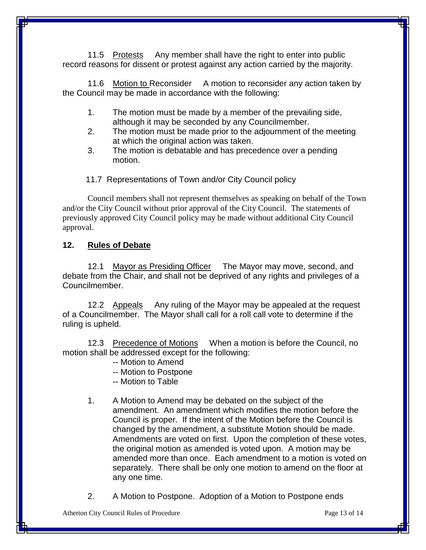11.5 Protests Any member shall have the right to enter into public record reasons for dissent or protest against any action carried by the majority.

11.6 Motion to Reconsider A motion to reconsider any action taken by the Council may be made in accordance with the following:

- 1. The motion must be made by a member of the prevailing side, although it may be seconded by any Councilmember.
- 2. The motion must be made prior to the adjournment of the meeting at which the original action was taken.
- 3. The motion is debatable and has precedence over a pending motion.

11.7 Representations of Town and/or City Council policy

Council members shall not represent themselves as speaking on behalf of the Town and/or the City Council without prior approval of the City Council. The statements of previously approved City Council policy may be made without additional City Council approval.

#### **12. Rules of Debate**

12.1 Mayor as Presiding Officer The Mayor may move, second, and debate from the Chair, and shall not be deprived of any rights and privileges of a Councilmember.

12.2 Appeals Any ruling of the Mayor may be appealed at the request of a Councilmember. The Mayor shall call for a roll call vote to determine if the ruling is upheld.

12.3 Precedence of Motions When a motion is before the Council, no motion shall be addressed except for the following:

- -- Motion to Amend
- -- Motion to Postpone
- -- Motion to Table
- 1. A Motion to Amend may be debated on the subject of the amendment. An amendment which modifies the motion before the Council is proper. If the intent of the Motion before the Council is changed by the amendment, a substitute Motion should be made. Amendments are voted on first. Upon the completion of these votes, the original motion as amended is voted upon. A motion may be amended more than once. Each amendment to a motion is voted on separately. There shall be only one motion to amend on the floor at any one time.
- 2. A Motion to Postpone. Adoption of a Motion to Postpone ends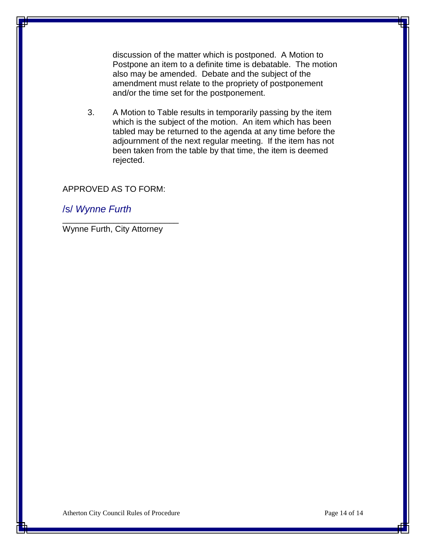discussion of the matter which is postponed. A Motion to Postpone an item to a definite time is debatable. The motion also may be amended. Debate and the subject of the amendment must relate to the propriety of postponement and/or the time set for the postponement.

3. A Motion to Table results in temporarily passing by the item which is the subject of the motion. An item which has been tabled may be returned to the agenda at any time before the adjournment of the next regular meeting. If the item has not been taken from the table by that time, the item is deemed rejected.

#### APPROVED AS TO FORM:

/s/ *Wynne Furth*

Wynne Furth, City Attorney

\_\_\_\_\_\_\_\_\_\_\_\_\_\_\_\_\_\_\_\_\_\_\_\_\_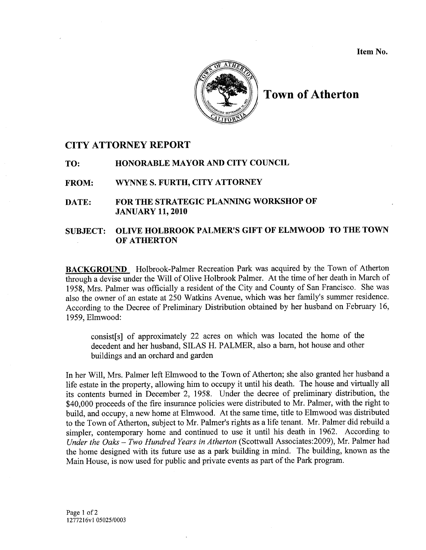Item No.



**Town of Atherton** 

#### **CITY ATTORNEY REPORT**

HONORABLE MAYOR AND CITY COUNCIL TO:

WYNNE S. FURTH, CITY ATTORNEY **FROM:** 

FOR THE STRATEGIC PLANNING WORKSHOP OF DATE: **JANUARY 11, 2010** 

#### OLIVE HOLBROOK PALMER'S GIFT OF ELMWOOD TO THE TOWN **SUBJECT:** OF ATHERTON

**BACKGROUND** Holbrook-Palmer Recreation Park was acquired by the Town of Atherton through a devise under the Will of Olive Holbrook Palmer. At the time of her death in March of 1958, Mrs. Palmer was officially a resident of the City and County of San Francisco. She was also the owner of an estate at 250 Watkins Avenue, which was her family's summer residence. According to the Decree of Preliminary Distribution obtained by her husband on February 16, 1959, Elmwood:

consist[s] of approximately 22 acres on which was located the home of the decedent and her husband, SILAS H. PALMER, also a barn, hot house and other buildings and an orchard and garden

In her Will, Mrs. Palmer left Elmwood to the Town of Atherton; she also granted her husband a life estate in the property, allowing him to occupy it until his death. The house and virtually all its contents burned in December 2, 1958. Under the decree of preliminary distribution, the \$40,000 proceeds of the fire insurance policies were distributed to Mr. Palmer, with the right to build, and occupy, a new home at Elmwood. At the same time, title to Elmwood was distributed to the Town of Atherton, subject to Mr. Palmer's rights as a life tenant. Mr. Palmer did rebuild a simpler, contemporary home and continued to use it until his death in 1962. According to Under the Oaks - Two Hundred Years in Atherton (Scottwall Associates: 2009), Mr. Palmer had the home designed with its future use as a park building in mind. The building, known as the Main House, is now used for public and private events as part of the Park program.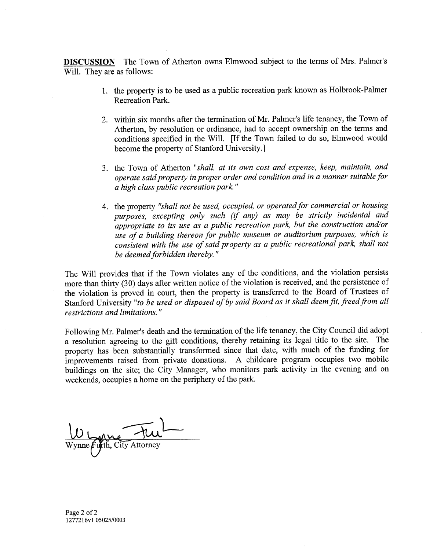**DISCUSSION** The Town of Atherton owns Elmwood subject to the terms of Mrs. Palmer's Will. They are as follows:

- 1. the property is to be used as a public recreation park known as Holbrook-Palmer Recreation Park.
- 2. within six months after the termination of Mr. Palmer's life tenancy, the Town of Atherton, by resolution or ordinance, had to accept ownership on the terms and conditions specified in the Will. [If the Town failed to do so, Elmwood would become the property of Stanford University.]
- 3. the Town of Atherton "shall, at its own cost and expense, keep, maintain, and operate said property in proper order and condition and in a manner suitable for *a* high class public recreation park."
- 4. the property "shall not be used, occupied, or operated for commercial or housing purposes, excepting only such (if any) as may be strictly incidental and appropriate to its use as a public recreation park, but the construction and/or use of a building thereon for public museum or auditorium purposes, which is consistent with the use of said property as a public recreational park, shall not be deemed forbidden thereby."

The Will provides that if the Town violates any of the conditions, and the violation persists more than thirty (30) days after written notice of the violation is received, and the persistence of the violation is proved in court, then the property is transferred to the Board of Trustees of Stanford University "to be used or disposed of by said Board as it shall deem fit, freed from all restrictions and limitations."

Following Mr. Palmer's death and the termination of the life tenancy, the City Council did adopt a resolution agreeing to the gift conditions, thereby retaining its legal title to the site. The property has been substantially transformed since that date, with much of the funding for improvements raised from private donations. A childcare program occupies two mobile buildings on the site; the City Manager, who monitors park activity in the evening and on weekends, occupies a home on the periphery of the park.

Page 2 of 2 1277216v1 05025/0003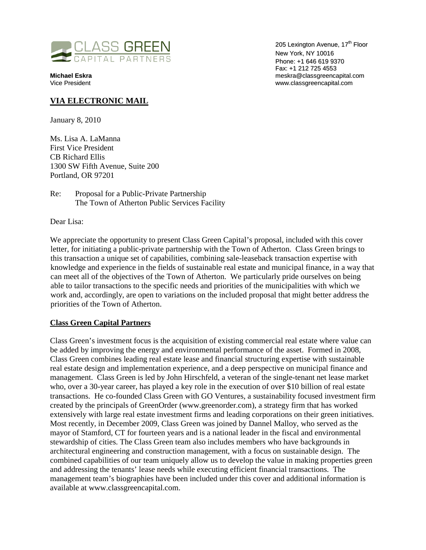

205 Lexington Avenue, 17<sup>th</sup> Floor New York, NY 10016 Phone: +1 646 619 9370 Fax: +1 212 725 4553 **Michael Eskra** meskra@classgreencapital.com www.classgreencapital.com

#### **VIA ELECTRONIC MAIL**

January 8, 2010

Ms. Lisa A. LaManna First Vice President CB Richard Ellis 1300 SW Fifth Avenue, Suite 200 Portland, OR 97201

Re: Proposal for a Public-Private Partnership The Town of Atherton Public Services Facility

Dear Lisa:

We appreciate the opportunity to present Class Green Capital's proposal, included with this cover letter, for initiating a public-private partnership with the Town of Atherton. Class Green brings to this transaction a unique set of capabilities, combining sale-leaseback transaction expertise with knowledge and experience in the fields of sustainable real estate and municipal finance, in a way that can meet all of the objectives of the Town of Atherton. We particularly pride ourselves on being able to tailor transactions to the specific needs and priorities of the municipalities with which we work and, accordingly, are open to variations on the included proposal that might better address the priorities of the Town of Atherton.

#### **Class Green Capital Partners**

Class Green's investment focus is the acquisition of existing commercial real estate where value can be added by improving the energy and environmental performance of the asset. Formed in 2008, Class Green combines leading real estate lease and financial structuring expertise with sustainable real estate design and implementation experience, and a deep perspective on municipal finance and management. Class Green is led by John Hirschfeld, a veteran of the single-tenant net lease market who, over a 30-year career, has played a key role in the execution of over \$10 billion of real estate transactions. He co-founded Class Green with GO Ventures, a sustainability focused investment firm created by the principals of GreenOrder (www.greenorder.com), a strategy firm that has worked extensively with large real estate investment firms and leading corporations on their green initiatives. Most recently, in December 2009, Class Green was joined by Dannel Malloy, who served as the mayor of Stamford, CT for fourteen years and is a national leader in the fiscal and environmental stewardship of cities. The Class Green team also includes members who have backgrounds in architectural engineering and construction management, with a focus on sustainable design. The combined capabilities of our team uniquely allow us to develop the value in making properties green and addressing the tenants' lease needs while executing efficient financial transactions. The management team's biographies have been included under this cover and additional information is available at www.classgreencapital.com.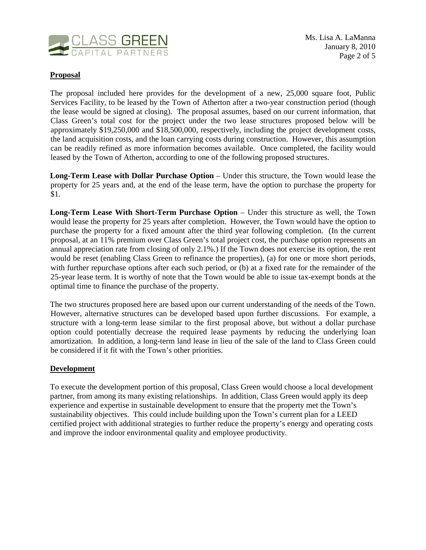

#### **Proposal**

The proposal included here provides for the development of a new, 25,000 square foot. Public Services Facility, to be leased by the Town of Atherton after a two-year construction period (though the lease would be signed at closing). The proposal assumes, based on our current information, that Class Green's total cost for the project under the two lease structures proposed below will be approximately \$19,250,000 and \$18,500,000, respectively, including the project development costs, the land acquisition costs, and the loan carrying costs during construction. However, this assumption can be readily refined as more information becomes available. Once completed, the facility would leased by the Town of Atherton, according to one of the following proposed structures.

**Long-Term Lease with Dollar Purchase Option** – Under this structure, the Town would lease the property for 25 years and, at the end of the lease term, have the option to purchase the property for \$1.

Long-Term Lease With Short-Term Purchase Option – Under this structure as well, the Town would lease the property for 25 years after completion. However, the Town would have the option to purchase the property for a fixed amount after the third year following completion. (In the current proposal, at an 11% premium over Class Green's total project cost, the purchase option represents an annual appreciation rate from closing of only 2.1%.) If the Town does not exercise its option, the rent would be reset (enabling Class Green to refinance the properties), (a) for one or more short periods, with further repurchase options after each such period, or (b) at a fixed rate for the remainder of the 25-year lease term. It is worthy of note that the Town would be able to issue tax-exempt bonds at the optimal time to finance the purchase of the property.

The two structures proposed here are based upon our current understanding of the needs of the Town. However, alternative structures can be developed based upon further discussions. For example, a structure with a long-term lease similar to the first proposal above, but without a dollar purchase option could potentially decrease the required lease payments by reducing the underlying loan amortization. In addition, a long-term land lease in lieu of the sale of the land to Class Green could be considered if it fit with the Town's other priorities.

#### **Development**

To execute the development portion of this proposal, Class Green would choose a local development partner, from among its many existing relationships. In addition, Class Green would apply its deep experience and expertise in sustainable development to ensure that the property met the Town's sustainability objectives. This could include building upon the Town's current plan for a LEED certified project with additional strategies to further reduce the property's energy and operating costs and improve the indoor environmental quality and employee productivity.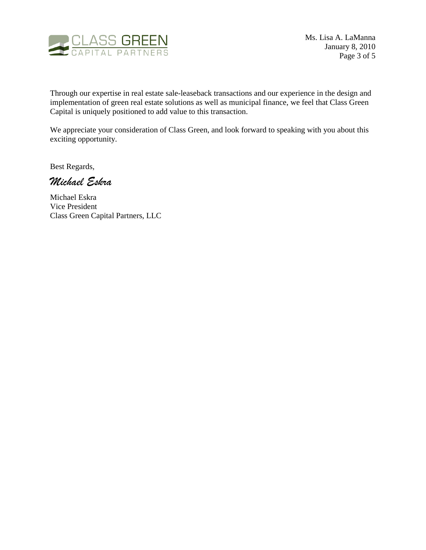

Through our expertise in real estate sale-leaseback transactions and our experience in the design and implementation of green real estate solutions as well as municipal finance, we feel that Class Green Capital is uniquely positioned to add value to this transaction.

We appreciate your consideration of Class Green, and look forward to speaking with you about this exciting opportunity.

Best Regards,

Michael Eskra

Michael Eskra Vice President Class Green Capital Partners, LLC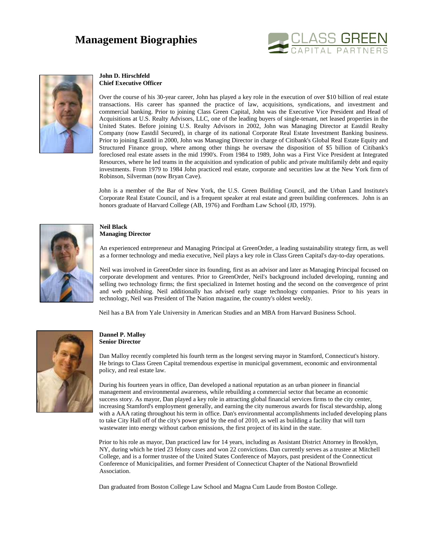## **Management Biographies**





#### **John D. Hirschfeld Chief Executive Officer**

Over the course of his 30-year career, John has played a key role in the execution of over \$10 billion of real estate transactions. His career has spanned the practice of law, acquisitions, syndications, and investment and commercial banking. Prior to joining Class Green Capital, John was the Executive Vice President and Head of Acquisitions at U.S. Realty Advisors, LLC, one of the leading buyers of single-tenant, net leased properties in the United States. Before joining U.S. Realty Advisors in 2002, John was Managing Director at Eastdil Realty Company (now Eastdil Secured), in charge of its national Corporate Real Estate Investment Banking business. Prior to joining Eastdil in 2000, John was Managing Director in charge of Citibank's Global Real Estate Equity and Structured Finance group, where among other things he oversaw the disposition of \$5 billion of Citibank's foreclosed real estate assets in the mid 1990's. From 1984 to 1989, John was a First Vice President at Integrated Resources, where he led teams in the acquisition and syndication of public and private multifamily debt and equity investments. From 1979 to 1984 John practiced real estate, corporate and securities law at the New York firm of Robinson, Silverman (now Bryan Cave).

John is a member of the Bar of New York, the U.S. Green Building Council, and the Urban Land Institute's Corporate Real Estate Council, and is a frequent speaker at real estate and green building conferences. John is an honors graduate of Harvard College (AB, 1976) and Fordham Law School (JD, 1979).



#### **Neil Black Managing Director**

An experienced entrepreneur and Managing Principal at GreenOrder, a leading sustainability strategy firm, as well as a former technology and media executive, Neil plays a key role in Class Green Capital's day-to-day operations.

Neil was involved in GreenOrder since its founding, first as an advisor and later as Managing Principal focused on corporate development and ventures. Prior to GreenOrder, Neil's background included developing, running and selling two technology firms; the first specialized in Internet hosting and the second on the convergence of print and web publishing. Neil additionally has advised early stage technology companies. Prior to his years in technology, Neil was President of The Nation magazine, the country's oldest weekly.

Neil has a BA from Yale University in American Studies and an MBA from Harvard Business School.



#### **Dannel P. Malloy Senior Director**

Dan Malloy recently completed his fourth term as the longest serving mayor in Stamford, Connecticut's history. He brings to Class Green Capital tremendous expertise in municipal government, economic and environmental policy, and real estate law.

During his fourteen years in office, Dan developed a national reputation as an urban pioneer in financial management and environmental awareness, while rebuilding a commercial sector that became an economic success story. As mayor, Dan played a key role in attracting global financial services firms to the city center, increasing Stamford's employment generally, and earning the city numerous awards for fiscal stewardship, along with a AAA rating throughout his term in office. Dan's environmental accomplishments included developing plans to take City Hall off of the city's power grid by the end of 2010, as well as building a facility that will turn wastewater into energy without carbon emissions, the first project of its kind in the state.

Prior to his role as mayor, Dan practiced law for 14 years, including as Assistant District Attorney in Brooklyn, NY, during which he tried 23 felony cases and won 22 convictions. Dan currently serves as a trustee at Mitchell College, and is a former trustee of the United States Conference of Mayors, past president of the Connecticut Conference of Municipalities, and former President of Connecticut Chapter of the National Brownfield Association.

Dan graduated from Boston College Law School and Magna Cum Laude from Boston College.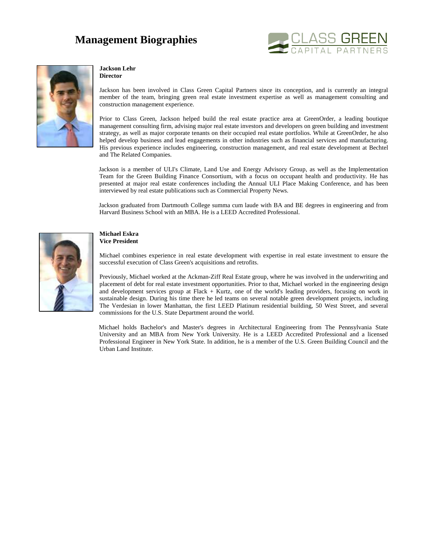## **Management Biographies**





#### **Jackson Lehr**

**Director** 

Jackson has been involved in Class Green Capital Partners since its conception, and is currently an integral member of the team, bringing green real estate investment expertise as well as management consulting and construction management experience.

Prior to Class Green, Jackson helped build the real estate practice area at GreenOrder, a leading boutique management consulting firm, advising major real estate investors and developers on green building and investment strategy, as well as major corporate tenants on their occupied real estate portfolios. While at GreenOrder, he also helped develop business and lead engagements in other industries such as financial services and manufacturing. His previous experience includes engineering, construction management, and real estate development at Bechtel and The Related Companies.

Jackson is a member of ULI's Climate, Land Use and Energy Advisory Group, as well as the Implementation Team for the Green Building Finance Consortium, with a focus on occupant health and productivity. He has presented at major real estate conferences including the Annual ULI Place Making Conference, and has been interviewed by real estate publications such as Commercial Property News.

Jackson graduated from Dartmouth College summa cum laude with BA and BE degrees in engineering and from Harvard Business School with an MBA. He is a LEED Accredited Professional.



#### **Michael Eskra Vice President**

Michael combines experience in real estate development with expertise in real estate investment to ensure the successful execution of Class Green's acquisitions and retrofits.

Previously, Michael worked at the Ackman-Ziff Real Estate group, where he was involved in the underwriting and placement of debt for real estate investment opportunities. Prior to that, Michael worked in the engineering design and development services group at Flack + Kurtz, one of the world's leading providers, focusing on work in sustainable design. During his time there he led teams on several notable green development projects, including The Verdesian in lower Manhattan, the first LEED Platinum residential building, 50 West Street, and several commissions for the U.S. State Department around the world.

Michael holds Bachelor's and Master's degrees in Architectural Engineering from The Pennsylvania State University and an MBA from New York University. He is a LEED Accredited Professional and a licensed Professional Engineer in New York State. In addition, he is a member of the U.S. Green Building Council and the Urban Land Institute.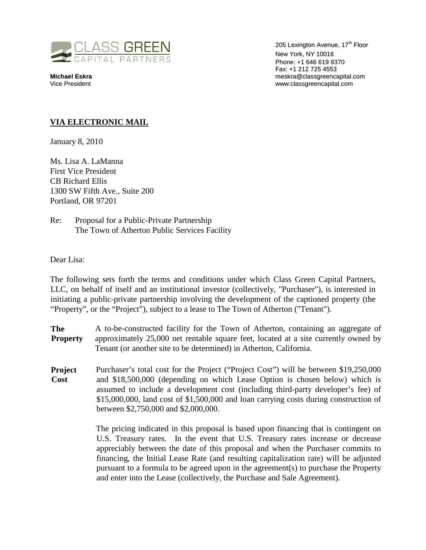

205 Lexington Avenue, 17<sup>th</sup> Floor New York, NY 10016 Phone: +1 646 619 9370 Fax: +1 212 725 4553 **Michael Eskra** meskra@classgreencapital.com www.classgreencapital.com

#### **VIA ELECTRONIC MAIL**

January 8, 2010

Ms. Lisa A. LaManna First Vice President CB Richard Ellis 1300 SW Fifth Ave., Suite 200 Portland, OR 97201

Re: Proposal for a Public-Private Partnership The Town of Atherton Public Services Facility

Dear Lisa:

The following sets forth the terms and conditions under which Class Green Capital Partners, LLC, on behalf of itself and an institutional investor (collectively, "Purchaser"), is interested in initiating a public-private partnership involving the development of the captioned property (the "Property", or the "Project"), subject to a lease to The Town of Atherton ("Tenant").

**The Property**  A to-be-constructed facility for the Town of Atherton, containing an aggregate of approximately 25,000 net rentable square feet, located at a site currently owned by Tenant (or another site to be determined) in Atherton, California.

**Project Cost**  Purchaser's total cost for the Project ("Project Cost") will be between \$19,250,000 and \$18,500,000 (depending on which Lease Option is chosen below) which is assumed to include a development cost (including third-party developer's fee) of \$15,000,000, land cost of \$1,500,000 and loan carrying costs during construction of between \$2,750,000 and \$2,000,000.

> The pricing indicated in this proposal is based upon financing that is contingent on U.S. Treasury rates. In the event that U.S. Treasury rates increase or decrease appreciably between the date of this proposal and when the Purchaser commits to financing, the Initial Lease Rate (and resulting capitalization rate) will be adjusted pursuant to a formula to be agreed upon in the agreement(s) to purchase the Property and enter into the Lease (collectively, the Purchase and Sale Agreement).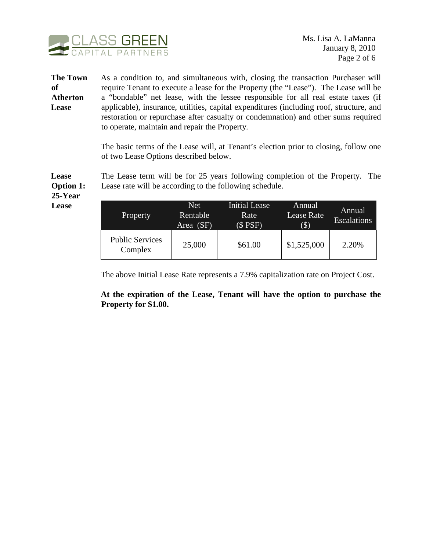

**The Town of Atherton Lease**  As a condition to, and simultaneous with, closing the transaction Purchaser will require Tenant to execute a lease for the Property (the "Lease"). The Lease will be a "bondable" net lease, with the lessee responsible for all real estate taxes (if applicable), insurance, utilities, capital expenditures (including roof, structure, and restoration or repurchase after casualty or condemnation) and other sums required to operate, maintain and repair the Property.

> The basic terms of the Lease will, at Tenant's election prior to closing, follow one of two Lease Options described below.

The Lease term will be for 25 years following completion of the Property. The Lease rate will be according to the following schedule.

**Option 1: 25-Year Lease** 

**Lease** 

| Property                          | <b>Net</b><br>Rentable<br>Area (SF) | <b>Initial Lease</b><br>Rate<br>$($$ PSF) | Annual<br><b>Lease Rate</b><br>$(\$)$ | Annual<br><b>Escalations</b> |
|-----------------------------------|-------------------------------------|-------------------------------------------|---------------------------------------|------------------------------|
| <b>Public Services</b><br>Complex | 25,000                              | \$61.00                                   | \$1,525,000                           | 2.20%                        |

The above Initial Lease Rate represents a 7.9% capitalization rate on Project Cost.

**At the expiration of the Lease, Tenant will have the option to purchase the Property for \$1.00.**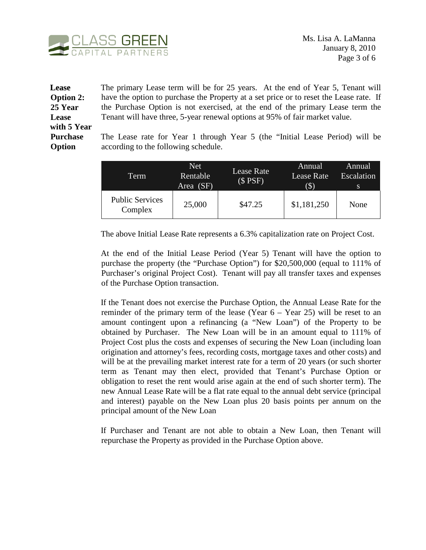

#### **Lease Option 2: 25 Year Lease with 5 Year Purchase Option**

The primary Lease term will be for 25 years. At the end of Year 5, Tenant will have the option to purchase the Property at a set price or to reset the Lease rate. If the Purchase Option is not exercised, at the end of the primary Lease term the Tenant will have three, 5-year renewal options at 95% of fair market value.

The Lease rate for Year 1 through Year 5 (the "Initial Lease Period) will be according to the following schedule.

| Term                              | Net.<br>Rentable<br>Area (SF) | Lease Rate<br>$(S$ PSF) | Annual<br>Lease Rate<br>$(\$)$ | Annual<br>Escalation<br>-S |
|-----------------------------------|-------------------------------|-------------------------|--------------------------------|----------------------------|
| <b>Public Services</b><br>Complex | 25,000                        | \$47.25                 | \$1,181,250                    | None                       |

The above Initial Lease Rate represents a 6.3% capitalization rate on Project Cost.

At the end of the Initial Lease Period (Year 5) Tenant will have the option to purchase the property (the "Purchase Option") for \$20,500,000 (equal to 111% of Purchaser's original Project Cost). Tenant will pay all transfer taxes and expenses of the Purchase Option transaction.

If the Tenant does not exercise the Purchase Option, the Annual Lease Rate for the reminder of the primary term of the lease (Year  $6 -$  Year 25) will be reset to an amount contingent upon a refinancing (a "New Loan") of the Property to be obtained by Purchaser. The New Loan will be in an amount equal to 111% of Project Cost plus the costs and expenses of securing the New Loan (including loan origination and attorney's fees, recording costs, mortgage taxes and other costs) and will be at the prevailing market interest rate for a term of 20 years (or such shorter term as Tenant may then elect, provided that Tenant's Purchase Option or obligation to reset the rent would arise again at the end of such shorter term). The new Annual Lease Rate will be a flat rate equal to the annual debt service (principal and interest) payable on the New Loan plus 20 basis points per annum on the principal amount of the New Loan

If Purchaser and Tenant are not able to obtain a New Loan, then Tenant will repurchase the Property as provided in the Purchase Option above.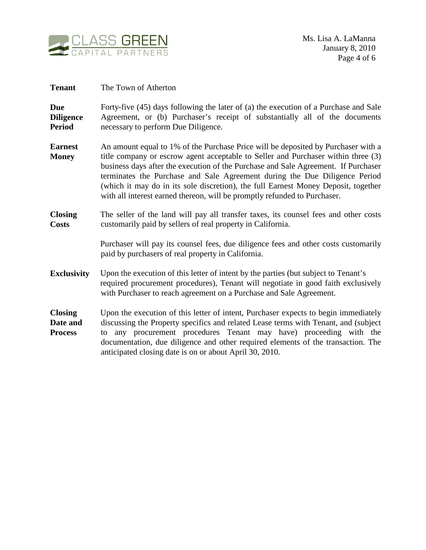

| <b>Tenant</b>                                   | The Town of Atherton                                                                                                                                                                                                                                                                                                                                                                                                                                                                                          |
|-------------------------------------------------|---------------------------------------------------------------------------------------------------------------------------------------------------------------------------------------------------------------------------------------------------------------------------------------------------------------------------------------------------------------------------------------------------------------------------------------------------------------------------------------------------------------|
| <b>Due</b><br><b>Diligence</b><br><b>Period</b> | Forty-five (45) days following the later of (a) the execution of a Purchase and Sale<br>Agreement, or (b) Purchaser's receipt of substantially all of the documents<br>necessary to perform Due Diligence.                                                                                                                                                                                                                                                                                                    |
| <b>Earnest</b><br><b>Money</b>                  | An amount equal to 1% of the Purchase Price will be deposited by Purchaser with a<br>title company or escrow agent acceptable to Seller and Purchaser within three (3)<br>business days after the execution of the Purchase and Sale Agreement. If Purchaser<br>terminates the Purchase and Sale Agreement during the Due Diligence Period<br>(which it may do in its sole discretion), the full Earnest Money Deposit, together<br>with all interest earned thereon, will be promptly refunded to Purchaser. |
| <b>Closing</b><br><b>Costs</b>                  | The seller of the land will pay all transfer taxes, its counsel fees and other costs<br>customarily paid by sellers of real property in California.                                                                                                                                                                                                                                                                                                                                                           |
|                                                 | Purchaser will pay its counsel fees, due diligence fees and other costs customarily<br>paid by purchasers of real property in California.                                                                                                                                                                                                                                                                                                                                                                     |
| <b>Exclusivity</b>                              | Upon the execution of this letter of intent by the parties (but subject to Tenant's<br>required procurement procedures), Tenant will negotiate in good faith exclusively<br>with Purchaser to reach agreement on a Purchase and Sale Agreement.                                                                                                                                                                                                                                                               |
| <b>Closing</b><br>Date and<br><b>Process</b>    | Upon the execution of this letter of intent, Purchaser expects to begin immediately<br>discussing the Property specifics and related Lease terms with Tenant, and (subject<br>any procurement procedures Tenant may have) proceeding with the<br>to<br>documentation, due diligence and other required elements of the transaction. The<br>anticipated closing date is on or about April 30, 2010.                                                                                                            |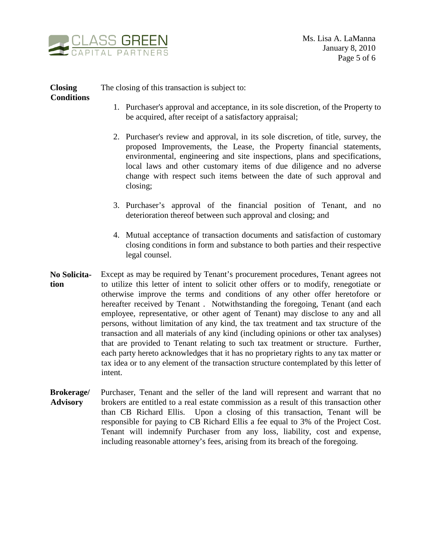

**Closing Conditions**  The closing of this transaction is subject to:

- 1. Purchaser's approval and acceptance, in its sole discretion, of the Property to be acquired, after receipt of a satisfactory appraisal;
- 2. Purchaser's review and approval, in its sole discretion, of title, survey, the proposed Improvements, the Lease, the Property financial statements, environmental, engineering and site inspections, plans and specifications, local laws and other customary items of due diligence and no adverse change with respect such items between the date of such approval and closing;
- 3. Purchaser's approval of the financial position of Tenant, and no deterioration thereof between such approval and closing; and
- 4. Mutual acceptance of transaction documents and satisfaction of customary closing conditions in form and substance to both parties and their respective legal counsel.
- **No Solicitation**  Except as may be required by Tenant's procurement procedures, Tenant agrees not to utilize this letter of intent to solicit other offers or to modify, renegotiate or otherwise improve the terms and conditions of any other offer heretofore or hereafter received by Tenant. Notwithstanding the foregoing, Tenant (and each employee, representative, or other agent of Tenant) may disclose to any and all persons, without limitation of any kind, the tax treatment and tax structure of the transaction and all materials of any kind (including opinions or other tax analyses) that are provided to Tenant relating to such tax treatment or structure. Further, each party hereto acknowledges that it has no proprietary rights to any tax matter or tax idea or to any element of the transaction structure contemplated by this letter of intent.
- **Brokerage/ Advisory**  Purchaser, Tenant and the seller of the land will represent and warrant that no brokers are entitled to a real estate commission as a result of this transaction other than CB Richard Ellis. Upon a closing of this transaction, Tenant will be responsible for paying to CB Richard Ellis a fee equal to 3% of the Project Cost. Tenant will indemnify Purchaser from any loss, liability, cost and expense, including reasonable attorney's fees, arising from its breach of the foregoing.